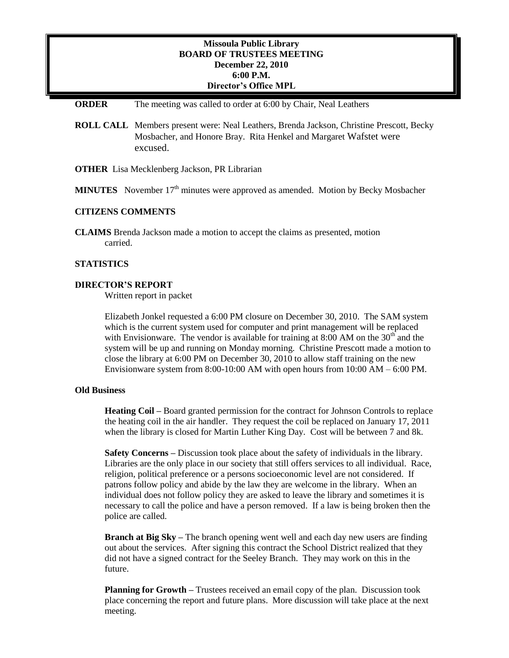# **Missoula Public Library BOARD OF TRUSTEES MEETING December 22, 2010 6:00 P.M. Director's Office MPL**

#### **ORDER** The meeting was called to order at 6:00 by Chair, Neal Leathers

- **ROLL CALL** Members present were: Neal Leathers, Brenda Jackson, Christine Prescott, Becky Mosbacher, and Honore Bray. Rita Henkel and Margaret Wafstet were excused.
- **OTHER** Lisa Mecklenberg Jackson, PR Librarian
- **MINUTES** November  $17<sup>th</sup>$  minutes were approved as amended. Motion by Becky Mosbacher

## **CITIZENS COMMENTS**

**CLAIMS** Brenda Jackson made a motion to accept the claims as presented, motion carried.

## **STATISTICS**

## **DIRECTOR'S REPORT**

Written report in packet

Elizabeth Jonkel requested a 6:00 PM closure on December 30, 2010. The SAM system which is the current system used for computer and print management will be replaced with Envisionware. The vendor is available for training at 8:00 AM on the  $30<sup>th</sup>$  and the system will be up and running on Monday morning. Christine Prescott made a motion to close the library at 6:00 PM on December 30, 2010 to allow staff training on the new Envisionware system from  $8:00-10:00$  AM with open hours from  $10:00$  AM –  $6:00$  PM.

## **Old Business**

**Heating Coil –** Board granted permission for the contract for Johnson Controls to replace the heating coil in the air handler. They request the coil be replaced on January 17, 2011 when the library is closed for Martin Luther King Day. Cost will be between 7 and 8k.

**Safety Concerns –** Discussion took place about the safety of individuals in the library. Libraries are the only place in our society that still offers services to all individual. Race, religion, political preference or a persons socioeconomic level are not considered. If patrons follow policy and abide by the law they are welcome in the library. When an individual does not follow policy they are asked to leave the library and sometimes it is necessary to call the police and have a person removed. If a law is being broken then the police are called.

**Branch at Big Sky –** The branch opening went well and each day new users are finding out about the services. After signing this contract the School District realized that they did not have a signed contract for the Seeley Branch. They may work on this in the future.

**Planning for Growth** – Trustees received an email copy of the plan. Discussion took place concerning the report and future plans. More discussion will take place at the next meeting.